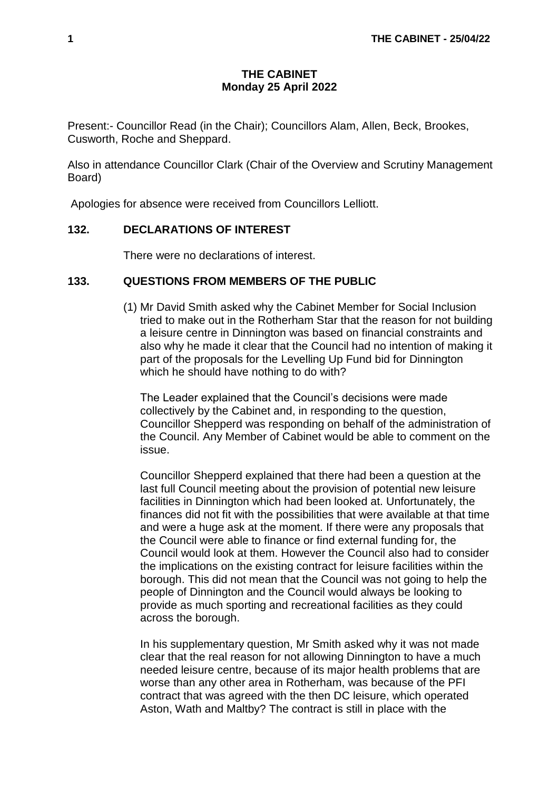## **THE CABINET Monday 25 April 2022**

Present:- Councillor Read (in the Chair); Councillors Alam, Allen, Beck, Brookes, Cusworth, Roche and Sheppard.

Also in attendance Councillor Clark (Chair of the Overview and Scrutiny Management Board)

Apologies for absence were received from Councillors Lelliott.

## **132. DECLARATIONS OF INTEREST**

There were no declarations of interest.

## **133. QUESTIONS FROM MEMBERS OF THE PUBLIC**

(1) Mr David Smith asked why the Cabinet Member for Social Inclusion tried to make out in the Rotherham Star that the reason for not building a leisure centre in Dinnington was based on financial constraints and also why he made it clear that the Council had no intention of making it part of the proposals for the Levelling Up Fund bid for Dinnington which he should have nothing to do with?

The Leader explained that the Council's decisions were made collectively by the Cabinet and, in responding to the question, Councillor Shepperd was responding on behalf of the administration of the Council. Any Member of Cabinet would be able to comment on the issue.

Councillor Shepperd explained that there had been a question at the last full Council meeting about the provision of potential new leisure facilities in Dinnington which had been looked at. Unfortunately, the finances did not fit with the possibilities that were available at that time and were a huge ask at the moment. If there were any proposals that the Council were able to finance or find external funding for, the Council would look at them. However the Council also had to consider the implications on the existing contract for leisure facilities within the borough. This did not mean that the Council was not going to help the people of Dinnington and the Council would always be looking to provide as much sporting and recreational facilities as they could across the borough.

In his supplementary question, Mr Smith asked why it was not made clear that the real reason for not allowing Dinnington to have a much needed leisure centre, because of its major health problems that are worse than any other area in Rotherham, was because of the PFI contract that was agreed with the then DC leisure, which operated Aston, Wath and Maltby? The contract is still in place with the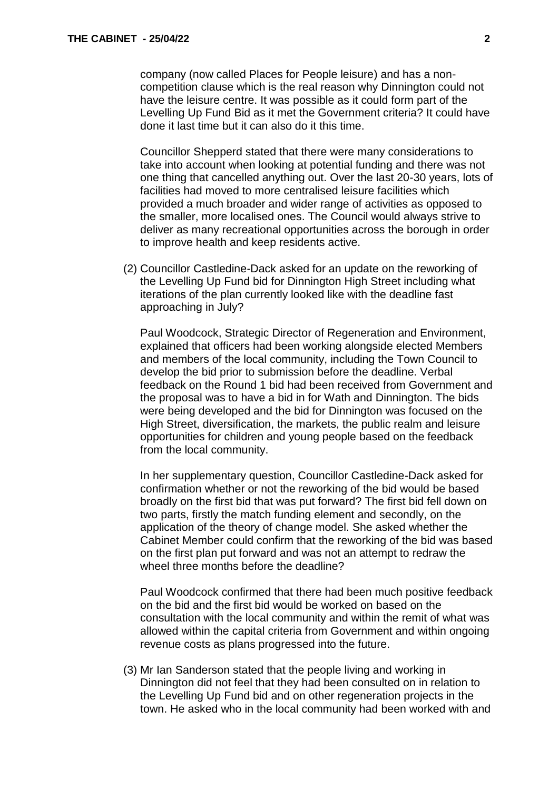company (now called Places for People leisure) and has a noncompetition clause which is the real reason why Dinnington could not have the leisure centre. It was possible as it could form part of the Levelling Up Fund Bid as it met the Government criteria? It could have done it last time but it can also do it this time.

Councillor Shepperd stated that there were many considerations to take into account when looking at potential funding and there was not one thing that cancelled anything out. Over the last 20-30 years, lots of facilities had moved to more centralised leisure facilities which provided a much broader and wider range of activities as opposed to the smaller, more localised ones. The Council would always strive to deliver as many recreational opportunities across the borough in order to improve health and keep residents active.

(2) Councillor Castledine-Dack asked for an update on the reworking of the Levelling Up Fund bid for Dinnington High Street including what iterations of the plan currently looked like with the deadline fast approaching in July?

Paul Woodcock, Strategic Director of Regeneration and Environment, explained that officers had been working alongside elected Members and members of the local community, including the Town Council to develop the bid prior to submission before the deadline. Verbal feedback on the Round 1 bid had been received from Government and the proposal was to have a bid in for Wath and Dinnington. The bids were being developed and the bid for Dinnington was focused on the High Street, diversification, the markets, the public realm and leisure opportunities for children and young people based on the feedback from the local community.

In her supplementary question, Councillor Castledine-Dack asked for confirmation whether or not the reworking of the bid would be based broadly on the first bid that was put forward? The first bid fell down on two parts, firstly the match funding element and secondly, on the application of the theory of change model. She asked whether the Cabinet Member could confirm that the reworking of the bid was based on the first plan put forward and was not an attempt to redraw the wheel three months before the deadline?

Paul Woodcock confirmed that there had been much positive feedback on the bid and the first bid would be worked on based on the consultation with the local community and within the remit of what was allowed within the capital criteria from Government and within ongoing revenue costs as plans progressed into the future.

(3) Mr Ian Sanderson stated that the people living and working in Dinnington did not feel that they had been consulted on in relation to the Levelling Up Fund bid and on other regeneration projects in the town. He asked who in the local community had been worked with and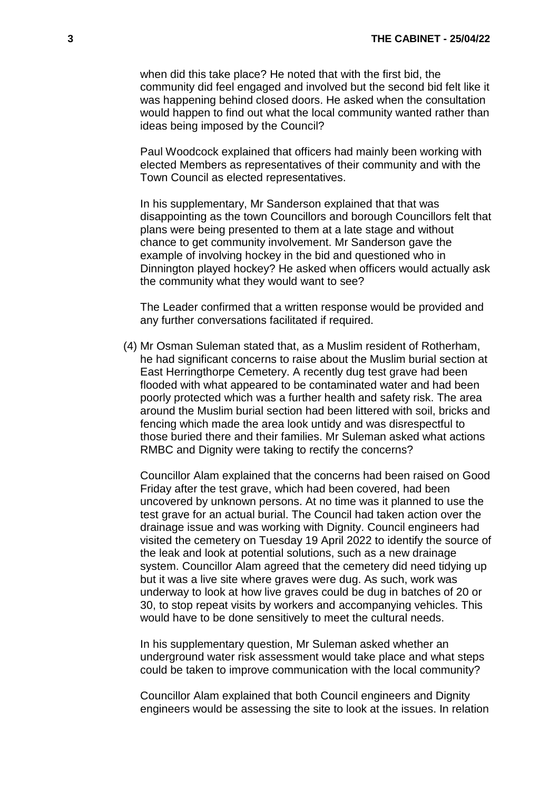when did this take place? He noted that with the first bid, the community did feel engaged and involved but the second bid felt like it was happening behind closed doors. He asked when the consultation would happen to find out what the local community wanted rather than ideas being imposed by the Council?

Paul Woodcock explained that officers had mainly been working with elected Members as representatives of their community and with the Town Council as elected representatives.

In his supplementary, Mr Sanderson explained that that was disappointing as the town Councillors and borough Councillors felt that plans were being presented to them at a late stage and without chance to get community involvement. Mr Sanderson gave the example of involving hockey in the bid and questioned who in Dinnington played hockey? He asked when officers would actually ask the community what they would want to see?

The Leader confirmed that a written response would be provided and any further conversations facilitated if required.

(4) Mr Osman Suleman stated that, as a Muslim resident of Rotherham, he had significant concerns to raise about the Muslim burial section at East Herringthorpe Cemetery. A recently dug test grave had been flooded with what appeared to be contaminated water and had been poorly protected which was a further health and safety risk. The area around the Muslim burial section had been littered with soil, bricks and fencing which made the area look untidy and was disrespectful to those buried there and their families. Mr Suleman asked what actions RMBC and Dignity were taking to rectify the concerns?

Councillor Alam explained that the concerns had been raised on Good Friday after the test grave, which had been covered, had been uncovered by unknown persons. At no time was it planned to use the test grave for an actual burial. The Council had taken action over the drainage issue and was working with Dignity. Council engineers had visited the cemetery on Tuesday 19 April 2022 to identify the source of the leak and look at potential solutions, such as a new drainage system. Councillor Alam agreed that the cemetery did need tidying up but it was a live site where graves were dug. As such, work was underway to look at how live graves could be dug in batches of 20 or 30, to stop repeat visits by workers and accompanying vehicles. This would have to be done sensitively to meet the cultural needs.

In his supplementary question, Mr Suleman asked whether an underground water risk assessment would take place and what steps could be taken to improve communication with the local community?

Councillor Alam explained that both Council engineers and Dignity engineers would be assessing the site to look at the issues. In relation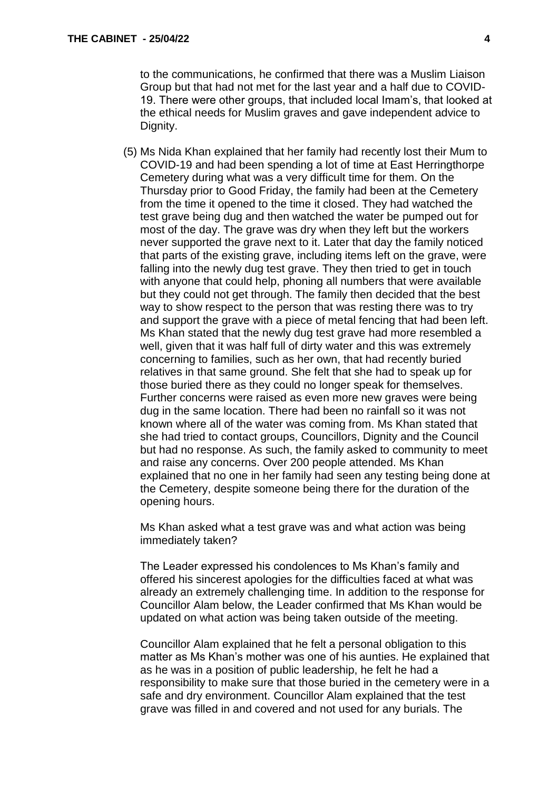to the communications, he confirmed that there was a Muslim Liaison Group but that had not met for the last year and a half due to COVID-19. There were other groups, that included local Imam's, that looked at the ethical needs for Muslim graves and gave independent advice to Dignity.

(5) Ms Nida Khan explained that her family had recently lost their Mum to COVID-19 and had been spending a lot of time at East Herringthorpe Cemetery during what was a very difficult time for them. On the Thursday prior to Good Friday, the family had been at the Cemetery from the time it opened to the time it closed. They had watched the test grave being dug and then watched the water be pumped out for most of the day. The grave was dry when they left but the workers never supported the grave next to it. Later that day the family noticed that parts of the existing grave, including items left on the grave, were falling into the newly dug test grave. They then tried to get in touch with anyone that could help, phoning all numbers that were available but they could not get through. The family then decided that the best way to show respect to the person that was resting there was to try and support the grave with a piece of metal fencing that had been left. Ms Khan stated that the newly dug test grave had more resembled a well, given that it was half full of dirty water and this was extremely concerning to families, such as her own, that had recently buried relatives in that same ground. She felt that she had to speak up for those buried there as they could no longer speak for themselves. Further concerns were raised as even more new graves were being dug in the same location. There had been no rainfall so it was not known where all of the water was coming from. Ms Khan stated that she had tried to contact groups, Councillors, Dignity and the Council but had no response. As such, the family asked to community to meet and raise any concerns. Over 200 people attended. Ms Khan explained that no one in her family had seen any testing being done at the Cemetery, despite someone being there for the duration of the opening hours.

Ms Khan asked what a test grave was and what action was being immediately taken?

The Leader expressed his condolences to Ms Khan's family and offered his sincerest apologies for the difficulties faced at what was already an extremely challenging time. In addition to the response for Councillor Alam below, the Leader confirmed that Ms Khan would be updated on what action was being taken outside of the meeting.

Councillor Alam explained that he felt a personal obligation to this matter as Ms Khan's mother was one of his aunties. He explained that as he was in a position of public leadership, he felt he had a responsibility to make sure that those buried in the cemetery were in a safe and dry environment. Councillor Alam explained that the test grave was filled in and covered and not used for any burials. The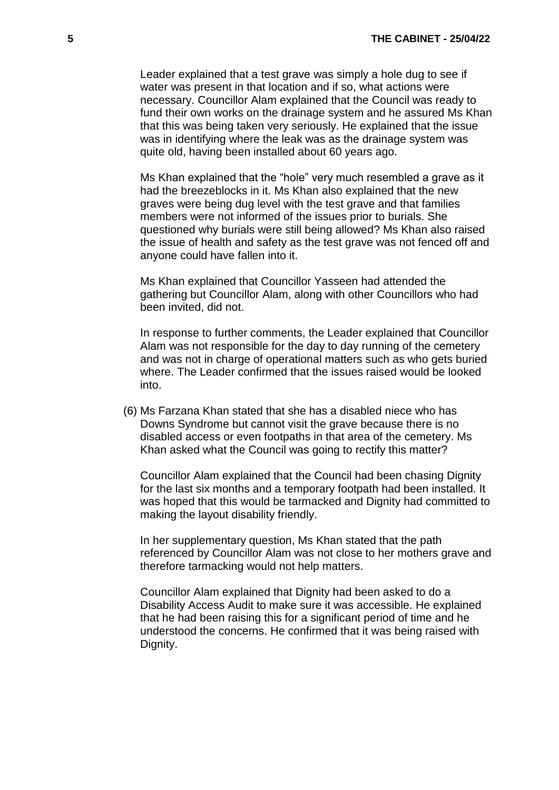Leader explained that a test grave was simply a hole dug to see if water was present in that location and if so, what actions were necessary. Councillor Alam explained that the Council was ready to fund their own works on the drainage system and he assured Ms Khan that this was being taken very seriously. He explained that the issue was in identifying where the leak was as the drainage system was quite old, having been installed about 60 years ago.

Ms Khan explained that the "hole" very much resembled a grave as it had the breezeblocks in it. Ms Khan also explained that the new graves were being dug level with the test grave and that families members were not informed of the issues prior to burials. She questioned why burials were still being allowed? Ms Khan also raised the issue of health and safety as the test grave was not fenced off and anyone could have fallen into it.

Ms Khan explained that Councillor Yasseen had attended the gathering but Councillor Alam, along with other Councillors who had been invited, did not.

In response to further comments, the Leader explained that Councillor Alam was not responsible for the day to day running of the cemetery and was not in charge of operational matters such as who gets buried where. The Leader confirmed that the issues raised would be looked into.

(6) Ms Farzana Khan stated that she has a disabled niece who has Downs Syndrome but cannot visit the grave because there is no disabled access or even footpaths in that area of the cemetery. Ms Khan asked what the Council was going to rectify this matter?

Councillor Alam explained that the Council had been chasing Dignity for the last six months and a temporary footpath had been installed. It was hoped that this would be tarmacked and Dignity had committed to making the layout disability friendly.

In her supplementary question, Ms Khan stated that the path referenced by Councillor Alam was not close to her mothers grave and therefore tarmacking would not help matters.

Councillor Alam explained that Dignity had been asked to do a Disability Access Audit to make sure it was accessible. He explained that he had been raising this for a significant period of time and he understood the concerns. He confirmed that it was being raised with Dignity.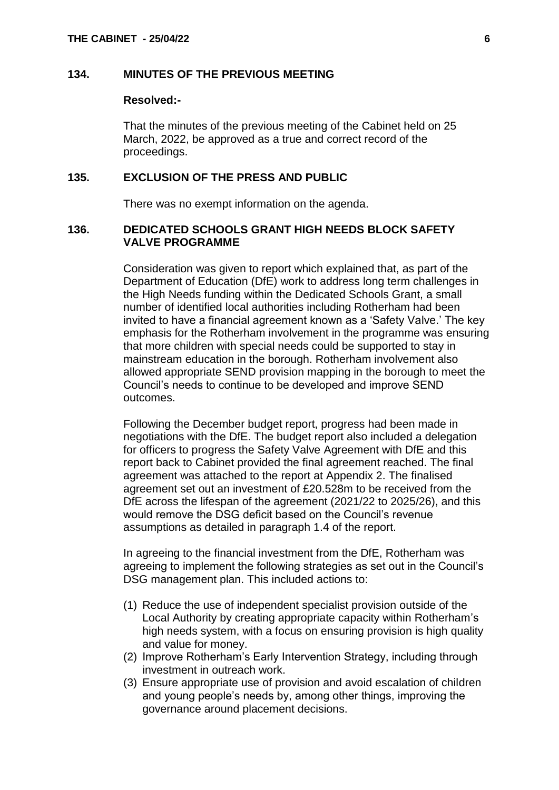#### **134. MINUTES OF THE PREVIOUS MEETING**

#### **Resolved:-**

That the minutes of the previous meeting of the Cabinet held on 25 March, 2022, be approved as a true and correct record of the proceedings.

#### **135. EXCLUSION OF THE PRESS AND PUBLIC**

There was no exempt information on the agenda.

#### **136. DEDICATED SCHOOLS GRANT HIGH NEEDS BLOCK SAFETY VALVE PROGRAMME**

Consideration was given to report which explained that, as part of the Department of Education (DfE) work to address long term challenges in the High Needs funding within the Dedicated Schools Grant, a small number of identified local authorities including Rotherham had been invited to have a financial agreement known as a 'Safety Valve.' The key emphasis for the Rotherham involvement in the programme was ensuring that more children with special needs could be supported to stay in mainstream education in the borough. Rotherham involvement also allowed appropriate SEND provision mapping in the borough to meet the Council's needs to continue to be developed and improve SEND outcomes.

Following the December budget report, progress had been made in negotiations with the DfE. The budget report also included a delegation for officers to progress the Safety Valve Agreement with DfE and this report back to Cabinet provided the final agreement reached. The final agreement was attached to the report at Appendix 2. The finalised agreement set out an investment of £20.528m to be received from the DfE across the lifespan of the agreement (2021/22 to 2025/26), and this would remove the DSG deficit based on the Council's revenue assumptions as detailed in paragraph 1.4 of the report.

In agreeing to the financial investment from the DfE, Rotherham was agreeing to implement the following strategies as set out in the Council's DSG management plan. This included actions to:

- (1) Reduce the use of independent specialist provision outside of the Local Authority by creating appropriate capacity within Rotherham's high needs system, with a focus on ensuring provision is high quality and value for money.
- (2) Improve Rotherham's Early Intervention Strategy, including through investment in outreach work.
- (3) Ensure appropriate use of provision and avoid escalation of children and young people's needs by, among other things, improving the governance around placement decisions.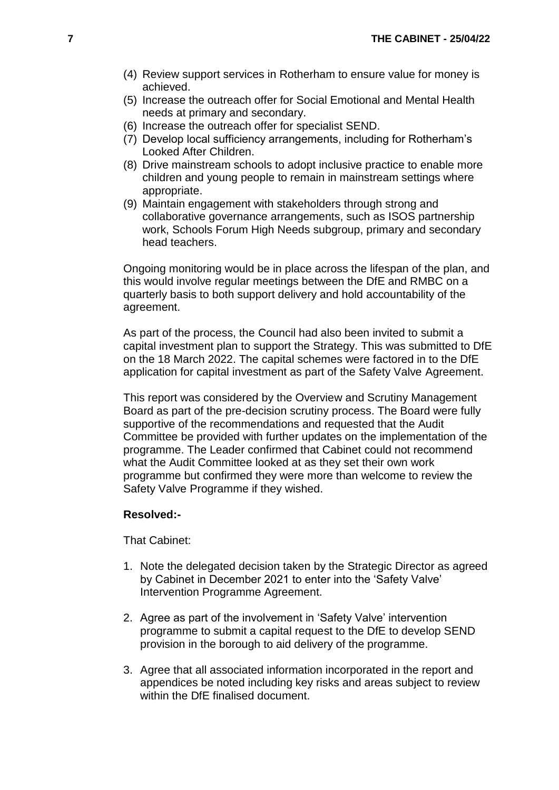- (4) Review support services in Rotherham to ensure value for money is achieved.
- (5) Increase the outreach offer for Social Emotional and Mental Health needs at primary and secondary.
- (6) Increase the outreach offer for specialist SEND.
- (7) Develop local sufficiency arrangements, including for Rotherham's Looked After Children.
- (8) Drive mainstream schools to adopt inclusive practice to enable more children and young people to remain in mainstream settings where appropriate.
- (9) Maintain engagement with stakeholders through strong and collaborative governance arrangements, such as ISOS partnership work, Schools Forum High Needs subgroup, primary and secondary head teachers.

Ongoing monitoring would be in place across the lifespan of the plan, and this would involve regular meetings between the DfE and RMBC on a quarterly basis to both support delivery and hold accountability of the agreement.

As part of the process, the Council had also been invited to submit a capital investment plan to support the Strategy. This was submitted to DfE on the 18 March 2022. The capital schemes were factored in to the DfE application for capital investment as part of the Safety Valve Agreement.

This report was considered by the Overview and Scrutiny Management Board as part of the pre-decision scrutiny process. The Board were fully supportive of the recommendations and requested that the Audit Committee be provided with further updates on the implementation of the programme. The Leader confirmed that Cabinet could not recommend what the Audit Committee looked at as they set their own work programme but confirmed they were more than welcome to review the Safety Valve Programme if they wished.

#### **Resolved:-**

That Cabinet:

- 1. Note the delegated decision taken by the Strategic Director as agreed by Cabinet in December 2021 to enter into the 'Safety Valve' Intervention Programme Agreement.
- 2. Agree as part of the involvement in 'Safety Valve' intervention programme to submit a capital request to the DfE to develop SEND provision in the borough to aid delivery of the programme.
- 3. Agree that all associated information incorporated in the report and appendices be noted including key risks and areas subject to review within the DfE finalised document.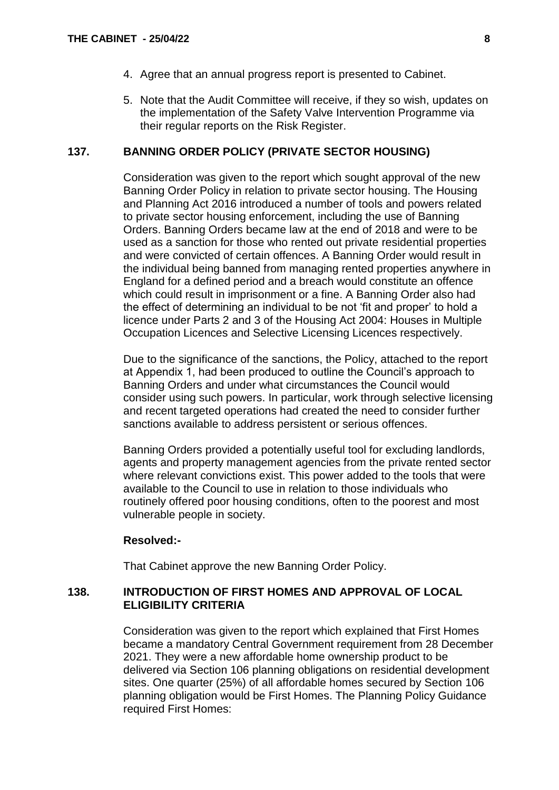- 4. Agree that an annual progress report is presented to Cabinet.
- 5. Note that the Audit Committee will receive, if they so wish, updates on the implementation of the Safety Valve Intervention Programme via their regular reports on the Risk Register.

#### **137. BANNING ORDER POLICY (PRIVATE SECTOR HOUSING)**

Consideration was given to the report which sought approval of the new Banning Order Policy in relation to private sector housing. The Housing and Planning Act 2016 introduced a number of tools and powers related to private sector housing enforcement, including the use of Banning Orders. Banning Orders became law at the end of 2018 and were to be used as a sanction for those who rented out private residential properties and were convicted of certain offences. A Banning Order would result in the individual being banned from managing rented properties anywhere in England for a defined period and a breach would constitute an offence which could result in imprisonment or a fine. A Banning Order also had the effect of determining an individual to be not 'fit and proper' to hold a licence under Parts 2 and 3 of the Housing Act 2004: Houses in Multiple Occupation Licences and Selective Licensing Licences respectively.

Due to the significance of the sanctions, the Policy, attached to the report at Appendix 1, had been produced to outline the Council's approach to Banning Orders and under what circumstances the Council would consider using such powers. In particular, work through selective licensing and recent targeted operations had created the need to consider further sanctions available to address persistent or serious offences.

Banning Orders provided a potentially useful tool for excluding landlords, agents and property management agencies from the private rented sector where relevant convictions exist. This power added to the tools that were available to the Council to use in relation to those individuals who routinely offered poor housing conditions, often to the poorest and most vulnerable people in society.

#### **Resolved:-**

That Cabinet approve the new Banning Order Policy.

## **138. INTRODUCTION OF FIRST HOMES AND APPROVAL OF LOCAL ELIGIBILITY CRITERIA**

Consideration was given to the report which explained that First Homes became a mandatory Central Government requirement from 28 December 2021. They were a new affordable home ownership product to be delivered via Section 106 planning obligations on residential development sites. One quarter (25%) of all affordable homes secured by Section 106 planning obligation would be First Homes. The Planning Policy Guidance required First Homes: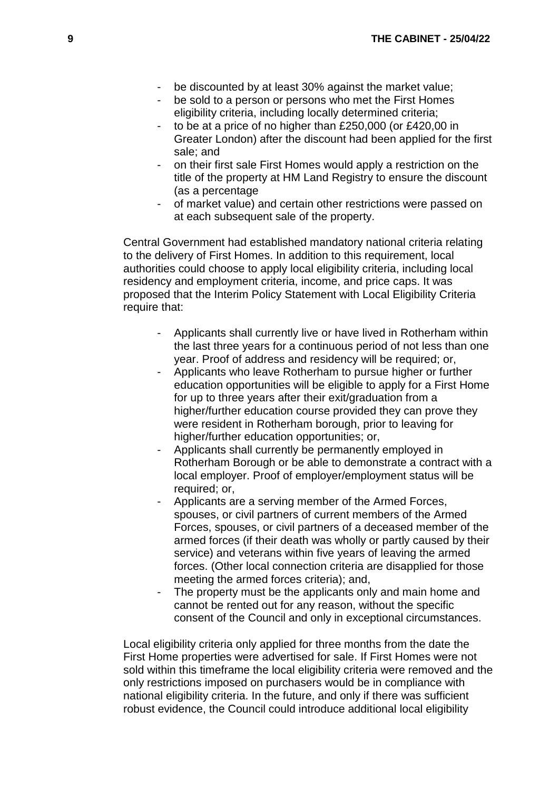- be discounted by at least 30% against the market value;
- be sold to a person or persons who met the First Homes eligibility criteria, including locally determined criteria;
- to be at a price of no higher than £250,000 (or £420,00 in Greater London) after the discount had been applied for the first sale; and
- on their first sale First Homes would apply a restriction on the title of the property at HM Land Registry to ensure the discount (as a percentage
- of market value) and certain other restrictions were passed on at each subsequent sale of the property.

Central Government had established mandatory national criteria relating to the delivery of First Homes. In addition to this requirement, local authorities could choose to apply local eligibility criteria, including local residency and employment criteria, income, and price caps. It was proposed that the Interim Policy Statement with Local Eligibility Criteria require that:

- Applicants shall currently live or have lived in Rotherham within the last three years for a continuous period of not less than one year. Proof of address and residency will be required; or,
- Applicants who leave Rotherham to pursue higher or further education opportunities will be eligible to apply for a First Home for up to three years after their exit/graduation from a higher/further education course provided they can prove they were resident in Rotherham borough, prior to leaving for higher/further education opportunities; or,
- Applicants shall currently be permanently employed in Rotherham Borough or be able to demonstrate a contract with a local employer. Proof of employer/employment status will be required; or,
- Applicants are a serving member of the Armed Forces, spouses, or civil partners of current members of the Armed Forces, spouses, or civil partners of a deceased member of the armed forces (if their death was wholly or partly caused by their service) and veterans within five years of leaving the armed forces. (Other local connection criteria are disapplied for those meeting the armed forces criteria); and,
- The property must be the applicants only and main home and cannot be rented out for any reason, without the specific consent of the Council and only in exceptional circumstances.

Local eligibility criteria only applied for three months from the date the First Home properties were advertised for sale. If First Homes were not sold within this timeframe the local eligibility criteria were removed and the only restrictions imposed on purchasers would be in compliance with national eligibility criteria. In the future, and only if there was sufficient robust evidence, the Council could introduce additional local eligibility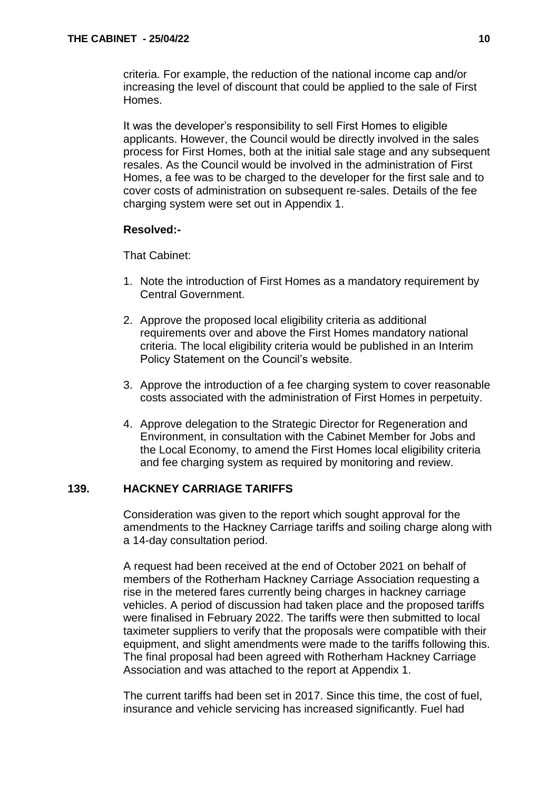criteria. For example, the reduction of the national income cap and/or increasing the level of discount that could be applied to the sale of First Homes.

It was the developer's responsibility to sell First Homes to eligible applicants. However, the Council would be directly involved in the sales process for First Homes, both at the initial sale stage and any subsequent resales. As the Council would be involved in the administration of First Homes, a fee was to be charged to the developer for the first sale and to cover costs of administration on subsequent re-sales. Details of the fee charging system were set out in Appendix 1.

## **Resolved:-**

That Cabinet:

- 1. Note the introduction of First Homes as a mandatory requirement by Central Government.
- 2. Approve the proposed local eligibility criteria as additional requirements over and above the First Homes mandatory national criteria. The local eligibility criteria would be published in an Interim Policy Statement on the Council's website.
- 3. Approve the introduction of a fee charging system to cover reasonable costs associated with the administration of First Homes in perpetuity.
- 4. Approve delegation to the Strategic Director for Regeneration and Environment, in consultation with the Cabinet Member for Jobs and the Local Economy, to amend the First Homes local eligibility criteria and fee charging system as required by monitoring and review.

# **139. HACKNEY CARRIAGE TARIFFS**

Consideration was given to the report which sought approval for the amendments to the Hackney Carriage tariffs and soiling charge along with a 14-day consultation period.

A request had been received at the end of October 2021 on behalf of members of the Rotherham Hackney Carriage Association requesting a rise in the metered fares currently being charges in hackney carriage vehicles. A period of discussion had taken place and the proposed tariffs were finalised in February 2022. The tariffs were then submitted to local taximeter suppliers to verify that the proposals were compatible with their equipment, and slight amendments were made to the tariffs following this. The final proposal had been agreed with Rotherham Hackney Carriage Association and was attached to the report at Appendix 1.

The current tariffs had been set in 2017. Since this time, the cost of fuel, insurance and vehicle servicing has increased significantly. Fuel had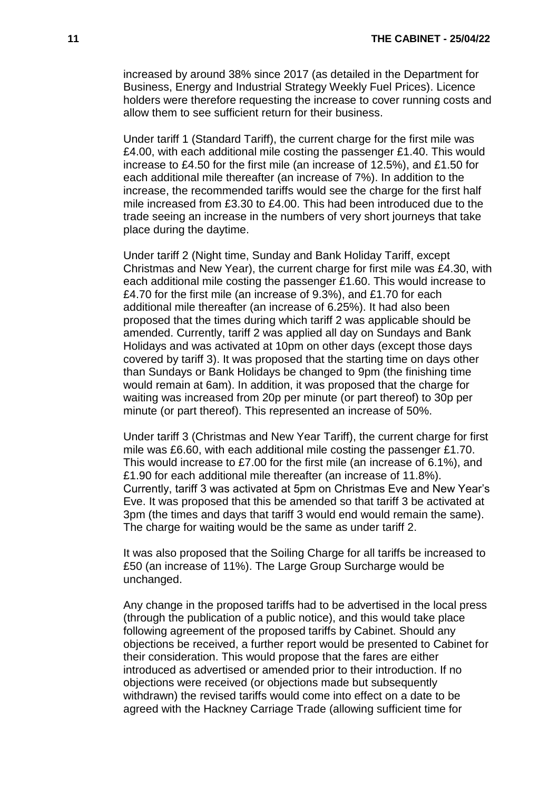increased by around 38% since 2017 (as detailed in the Department for Business, Energy and Industrial Strategy Weekly Fuel Prices). Licence holders were therefore requesting the increase to cover running costs and allow them to see sufficient return for their business.

Under tariff 1 (Standard Tariff), the current charge for the first mile was £4.00, with each additional mile costing the passenger £1.40. This would increase to £4.50 for the first mile (an increase of 12.5%), and £1.50 for each additional mile thereafter (an increase of 7%). In addition to the increase, the recommended tariffs would see the charge for the first half mile increased from £3.30 to £4.00. This had been introduced due to the trade seeing an increase in the numbers of very short journeys that take place during the daytime.

Under tariff 2 (Night time, Sunday and Bank Holiday Tariff, except Christmas and New Year), the current charge for first mile was £4.30, with each additional mile costing the passenger £1.60. This would increase to £4.70 for the first mile (an increase of 9.3%), and £1.70 for each additional mile thereafter (an increase of 6.25%). It had also been proposed that the times during which tariff 2 was applicable should be amended. Currently, tariff 2 was applied all day on Sundays and Bank Holidays and was activated at 10pm on other days (except those days covered by tariff 3). It was proposed that the starting time on days other than Sundays or Bank Holidays be changed to 9pm (the finishing time would remain at 6am). In addition, it was proposed that the charge for waiting was increased from 20p per minute (or part thereof) to 30p per minute (or part thereof). This represented an increase of 50%.

Under tariff 3 (Christmas and New Year Tariff), the current charge for first mile was £6.60, with each additional mile costing the passenger £1.70. This would increase to £7.00 for the first mile (an increase of 6.1%), and £1.90 for each additional mile thereafter (an increase of 11.8%). Currently, tariff 3 was activated at 5pm on Christmas Eve and New Year's Eve. It was proposed that this be amended so that tariff 3 be activated at 3pm (the times and days that tariff 3 would end would remain the same). The charge for waiting would be the same as under tariff 2.

It was also proposed that the Soiling Charge for all tariffs be increased to £50 (an increase of 11%). The Large Group Surcharge would be unchanged.

Any change in the proposed tariffs had to be advertised in the local press (through the publication of a public notice), and this would take place following agreement of the proposed tariffs by Cabinet. Should any objections be received, a further report would be presented to Cabinet for their consideration. This would propose that the fares are either introduced as advertised or amended prior to their introduction. If no objections were received (or objections made but subsequently withdrawn) the revised tariffs would come into effect on a date to be agreed with the Hackney Carriage Trade (allowing sufficient time for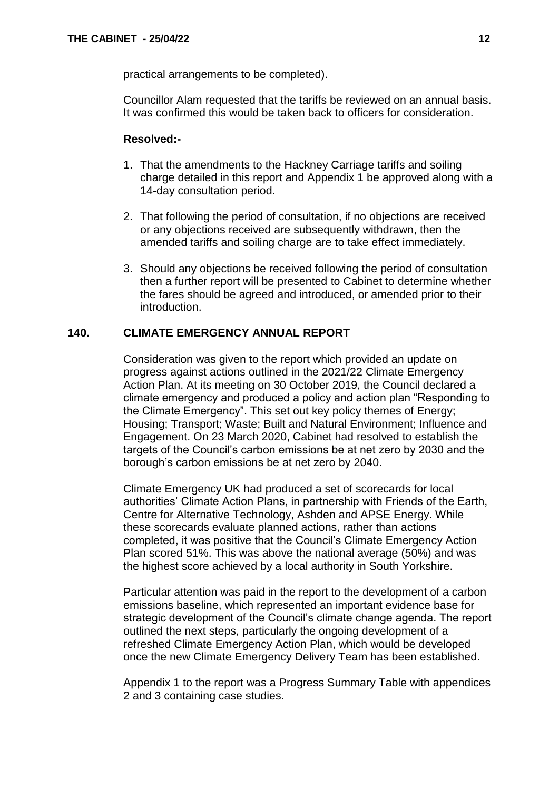practical arrangements to be completed).

Councillor Alam requested that the tariffs be reviewed on an annual basis. It was confirmed this would be taken back to officers for consideration.

### **Resolved:-**

- 1. That the amendments to the Hackney Carriage tariffs and soiling charge detailed in this report and Appendix 1 be approved along with a 14-day consultation period.
- 2. That following the period of consultation, if no objections are received or any objections received are subsequently withdrawn, then the amended tariffs and soiling charge are to take effect immediately.
- 3. Should any objections be received following the period of consultation then a further report will be presented to Cabinet to determine whether the fares should be agreed and introduced, or amended prior to their introduction.

## **140. CLIMATE EMERGENCY ANNUAL REPORT**

Consideration was given to the report which provided an update on progress against actions outlined in the 2021/22 Climate Emergency Action Plan. At its meeting on 30 October 2019, the Council declared a climate emergency and produced a policy and action plan "Responding to the Climate Emergency". This set out key policy themes of Energy; Housing; Transport; Waste; Built and Natural Environment; Influence and Engagement. On 23 March 2020, Cabinet had resolved to establish the targets of the Council's carbon emissions be at net zero by 2030 and the borough's carbon emissions be at net zero by 2040.

Climate Emergency UK had produced a set of scorecards for local authorities' Climate Action Plans, in partnership with Friends of the Earth, Centre for Alternative Technology, Ashden and APSE Energy. While these scorecards evaluate planned actions, rather than actions completed, it was positive that the Council's Climate Emergency Action Plan scored 51%. This was above the national average (50%) and was the highest score achieved by a local authority in South Yorkshire.

Particular attention was paid in the report to the development of a carbon emissions baseline, which represented an important evidence base for strategic development of the Council's climate change agenda. The report outlined the next steps, particularly the ongoing development of a refreshed Climate Emergency Action Plan, which would be developed once the new Climate Emergency Delivery Team has been established.

Appendix 1 to the report was a Progress Summary Table with appendices 2 and 3 containing case studies.